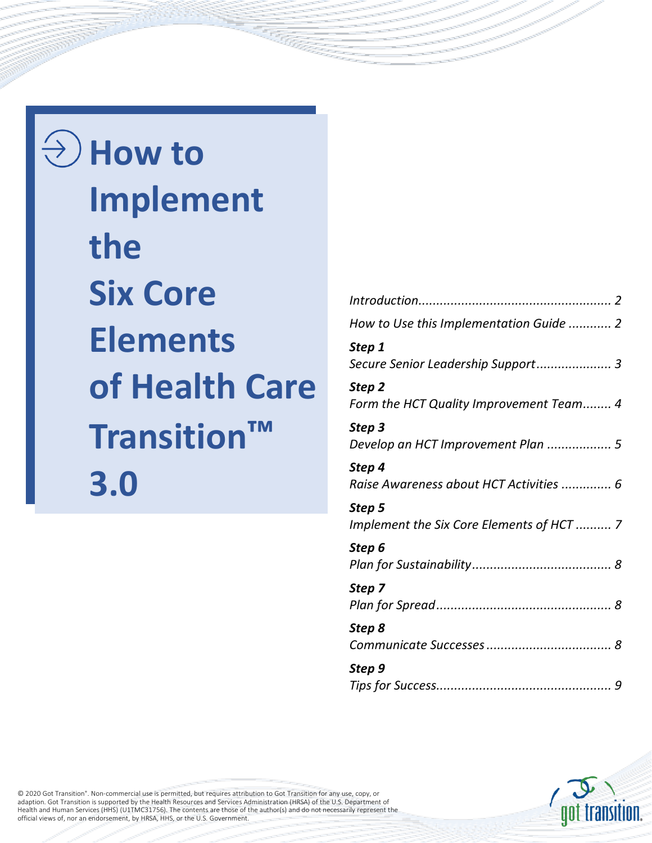$\Theta(\lambda)$  How to **Implement the Six Core Elements of Health Care Transition™ 3.0**

| How to Use this Implementation Guide  2   |
|-------------------------------------------|
| Step 1                                    |
| Secure Senior Leadership Support 3        |
| Step 2                                    |
| Form the HCT Quality Improvement Team 4   |
| Step 3                                    |
| Develop an HCT Improvement Plan  5        |
| Step 4                                    |
| Raise Awareness about HCT Activities  6   |
| Step 5                                    |
| Implement the Six Core Elements of HCT  7 |
| Step 6                                    |
|                                           |
| Step 7                                    |
|                                           |
| Step 8                                    |
|                                           |
| Step 9                                    |
|                                           |



© 2020 Got Transition® . Non-commercial use is permitted, but requires attribution to Got Transition for any use, copy, or adaption. Got Transition is supported by the Health Resources and Services Administration (HRSA) of the U.S. Department of<br>Health and Human Services (HHS) (U1TMC31756). The contents are those of the author(s) and do not ne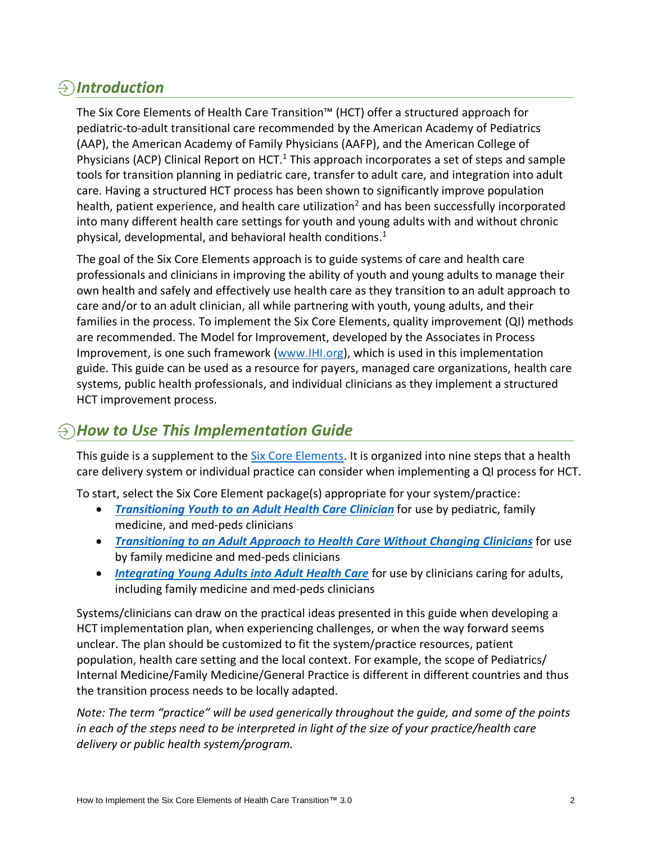# <span id="page-1-0"></span>*Introduction*

The Six Core Elements of Health Care Transition™ (HCT) offer a structured approach for pediatric-to-adult transitional care recommended by the American Academy of Pediatrics (AAP), the American Academy of Family Physicians (AAFP), and the American College of Physicians (ACP) Clinical Report on HCT. $1$  This approach incorporates a set of steps and sample tools for transition planning in pediatric care, transfer to adult care, and integration into adult care. Having a structured HCT process has been shown to significantly improve population health, patient experience, and health care utilization<sup>2</sup> and has been successfully incorporated into many different health care settings for youth and young adults with and without chronic physical, developmental, and behavioral health conditions. 1

The goal of the Six Core Elements approach is to guide systems of care and health care professionals and clinicians in improving the ability of youth and young adults to manage their own health and safely and effectively use health care as they transition to an adult approach to care and/or to an adult clinician, all while partnering with youth, young adults, and their families in the process. To implement the Six Core Elements, quality improvement (QI) methods are recommended. The Model for Improvement, developed by the Associates in Process Improvement, is one such framework [\(www.IHI.org\)](http://www.ihi.org/), which is used in this implementation guide. This guide can be used as a resource for payers, managed care organizations, health care systems, public health professionals, and individual clinicians as they implement a structured HCT improvement process.

### $\ominus$ ) How to Use This Implementation Guide

This guide is a supplement to the [Six Core Elements.](https://gottransition.org/six-core-elements/) It is organized into nine steps that a health care delivery system or individual practice can consider when implementing a QI process for HCT.

To start, select the Six Core Element package(s) appropriate for your system/practice:

- *[Transitioning Youth to an Adult](https://gottransition.org/six-core-elements/transitioning-youth-to-adult/) Health Care Clinician* for use by pediatric, family medicine, and med-peds clinicians
- *[Transitioning to an Adult Approach to Health Care Without Changing Clinicians](https://gottransition.org/six-core-elements/transitioning-adult-approach/)* for use by family medicine and med-peds clinicians
- *[Integrating Young Adults into Adult Health Care](https://gottransition.org/six-core-elements/integrating-young-adults/)* for use by clinicians caring for adults, including family medicine and med-peds clinicians

Systems/clinicians can draw on the practical ideas presented in this guide when developing a HCT implementation plan, when experiencing challenges, or when the way forward seems unclear. The plan should be customized to fit the system/practice resources, patient population, health care setting and the local context. For example, the scope of Pediatrics/ Internal Medicine/Family Medicine/General Practice is different in different countries and thus the transition process needs to be locally adapted.

*Note: The term "practice" will be used generically throughout the guide, and some of the points in each of the steps need to be interpreted in light of the size of your practice/health care delivery or public health system/program.*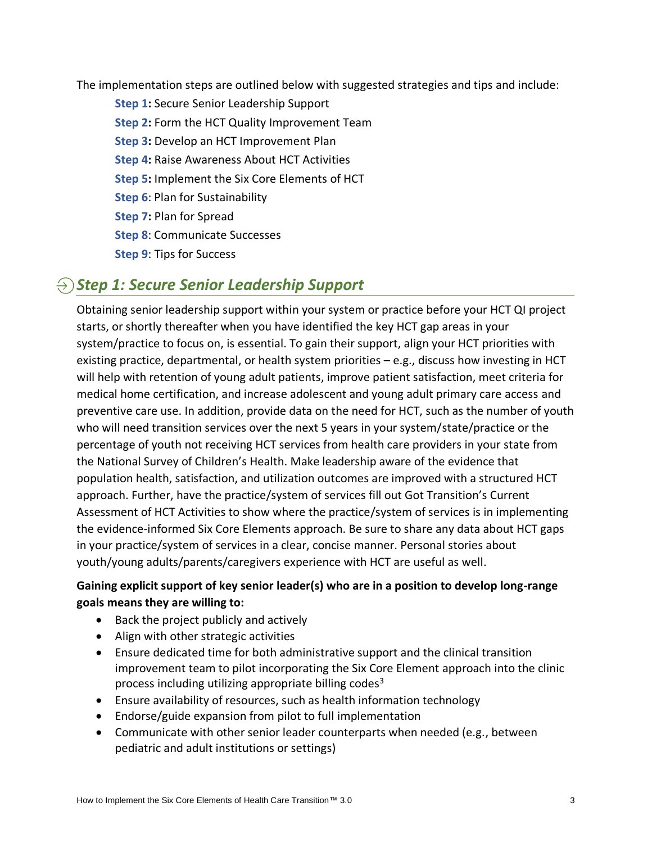<span id="page-2-0"></span>The implementation steps are outlined below with suggested strategies and tips and include:

**Step 1:** Secure Senior Leadership Support **Step 2:** Form the HCT [Quality Improvement Team](#page-3-0) **Step 3:** Develop an [HCT Improvement Plan](#page-4-0) **Step 4:** Raise [Awareness About HCT](#page-5-0) Activities **Step 5:** Implement [the Six Core Elements](#page-6-0) of HCT **Step 6**[: Plan for Sustainability](#page-7-0) **Step 7:** Plan for Spread **Step 8**: Communicate Successes **Step 9**[: Tips for Success](#page-8-0)

# *Step 1: Secure Senior Leadership Support*

Obtaining senior leadership support within your system or practice before your HCT QI project starts, or shortly thereafter when you have identified the key HCT gap areas in your system/practice to focus on, is essential. To gain their support, align your HCT priorities with existing practice, departmental, or health system priorities – e.g., discuss how investing in HCT will help with retention of young adult patients, improve patient satisfaction, meet criteria for medical home certification, and increase adolescent and young adult primary care access and preventive care use. In addition, provide data on the need for HCT, such as the number of youth who will need transition services over the next 5 years in your system/state/practice or the percentage of youth not receiving HCT services from health care providers in your state from the National Survey of Children's Health. Make leadership aware of the evidence that population health, satisfaction, and utilization outcomes are improved with a structured HCT approach. Further, have the practice/system of services fill out Got Transition's Current Assessment of HCT Activities to show where the practice/system of services is in implementing the evidence-informed Six Core Elements approach. Be sure to share any data about HCT gaps in your practice/system of services in a clear, concise manner. Personal stories about youth/young adults/parents/caregivers experience with HCT are useful as well.

### **Gaining explicit support of key senior leader(s) who are in a position to develop long-range goals means they are willing to:**

- Back the project publicly and actively
- Align with other strategic activities
- Ensure dedicated time for both administrative support and the clinical transition improvement team to pilot incorporating the Six Core Element approach into the clinic process including utilizing appropriate billing codes<sup>3</sup>
- Ensure availability of resources, such as health information technology
- Endorse/guide expansion from pilot to full implementation
- Communicate with other senior leader counterparts when needed (e.g., between pediatric and adult institutions or settings)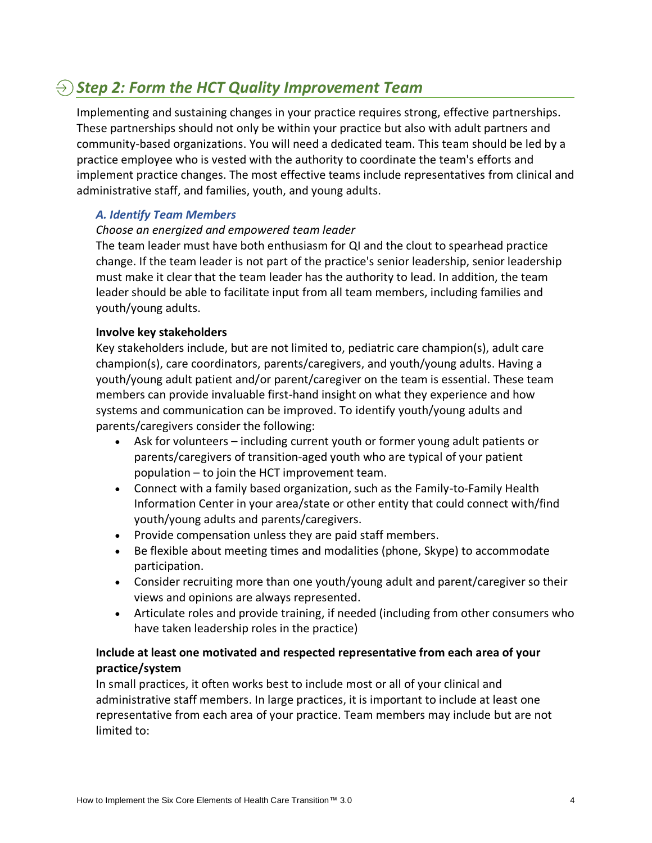## <span id="page-3-0"></span>*Step 2: Form the HCT Quality Improvement Team*

Implementing and sustaining changes in your practice requires strong, effective partnerships. These partnerships should not only be within your practice but also with adult partners and community-based organizations. You will need a dedicated team. This team should be led by a practice employee who is vested with the authority to coordinate the team's efforts and implement practice changes. The most effective teams include representatives from clinical and administrative staff, and families, youth, and young adults.

#### *A. Identify Team Members*

#### *Choose an energized and empowered team leader*

The team leader must have both enthusiasm for QI and the clout to spearhead practice change. If the team leader is not part of the practice's senior leadership, senior leadership must make it clear that the team leader has the authority to lead. In addition, the team leader should be able to facilitate input from all team members, including families and youth/young adults.

#### **Involve key stakeholders**

Key stakeholders include, but are not limited to, pediatric care champion(s), adult care champion(s), care coordinators, parents/caregivers, and youth/young adults. Having a youth/young adult patient and/or parent/caregiver on the team is essential. These team members can provide invaluable first-hand insight on what they experience and how systems and communication can be improved. To identify youth/young adults and parents/caregivers consider the following:

- Ask for volunteers including current youth or former young adult patients or parents/caregivers of transition-aged youth who are typical of your patient population – to join the HCT improvement team.
- Connect with a family based organization, such as the Family-to-Family Health Information Center in your area/state or other entity that could connect with/find youth/young adults and parents/caregivers.
- Provide compensation unless they are paid staff members.
- Be flexible about meeting times and modalities (phone, Skype) to accommodate participation.
- Consider recruiting more than one youth/young adult and parent/caregiver so their views and opinions are always represented.
- Articulate roles and provide training, if needed (including from other consumers who have taken leadership roles in the practice)

#### **Include at least one motivated and respected representative from each area of your practice/system**

In small practices, it often works best to include most or all of your clinical and administrative staff members. In large practices, it is important to include at least one representative from each area of your practice. Team members may include but are not limited to: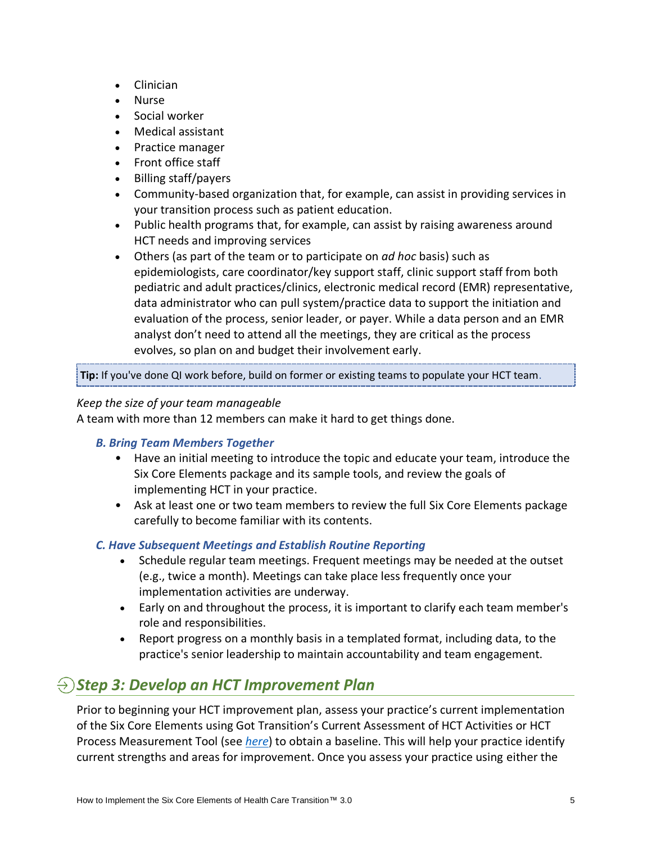- <span id="page-4-0"></span>• Clinician
- Nurse
- Social worker
- Medical assistant
- Practice manager
- Front office staff
- Billing staff/payers
- Community-based organization that, for example, can assist in providing services in your transition process such as patient education.
- Public health programs that, for example, can assist by raising awareness around HCT needs and improving services
- Others (as part of the team or to participate on *ad hoc* basis) such as epidemiologists, care coordinator/key support staff, clinic support staff from both pediatric and adult practices/clinics, electronic medical record (EMR) representative, data administrator who can pull system/practice data to support the initiation and evaluation of the process, senior leader, or payer. While a data person and an EMR analyst don't need to attend all the meetings, they are critical as the process evolves, so plan on and budget their involvement early.

**Tip:** If you've done QI work before, build on former or existing teams to populate your HCT team.

#### *Keep the size of your team manageable*

A team with more than 12 members can make it hard to get things done.

#### *B. Bring Team Members Together*

- Have an initial meeting to introduce the topic and educate your team, introduce the Six Core Elements package and its sample tools, and review the goals of implementing HCT in your practice.
- Ask at least one or two team members to review the full Six Core Elements package carefully to become familiar with its contents.

#### *C. Have Subsequent Meetings and Establish Routine Reporting*

- Schedule regular team meetings. Frequent meetings may be needed at the outset (e.g., twice a month). Meetings can take place less frequently once your implementation activities are underway.
- Early on and throughout the process, it is important to clarify each team member's role and responsibilities.
- Report progress on a monthly basis in a templated format, including data, to the practice's senior leadership to maintain accountability and team engagement.

### *Step 3: Develop an HCT Improvement Plan*

Prior to beginning your HCT improvement plan, assess your practice's current implementation of the Six Core Elements using Got Transition's Current Assessment of HCT Activities or HCT Process Measurement Tool (see *[here](https://gottransition.org/six-core-elements/measurement)*) to obtain a baseline. This will help your practice identify current strengths and areas for improvement. Once you assess your practice using either the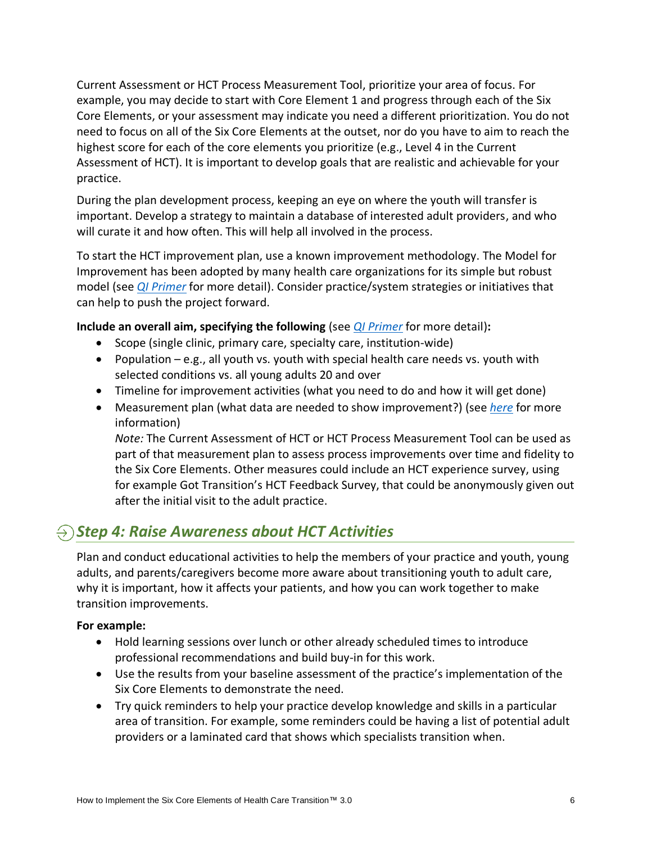<span id="page-5-0"></span>Current Assessment or HCT Process Measurement Tool, prioritize your area of focus. For example, you may decide to start with Core Element 1 and progress through each of the Six Core Elements, or your assessment may indicate you need a different prioritization. You do not need to focus on all of the Six Core Elements at the outset, nor do you have to aim to reach the highest score for each of the core elements you prioritize (e.g., Level 4 in the Current Assessment of HCT). It is important to develop goals that are realistic and achievable for your practice.

During the plan development process, keeping an eye on where the youth will transfer is important. Develop a strategy to maintain a database of interested adult providers, and who will curate it and how often. This will help all involved in the process.

To start the HCT improvement plan, use a known improvement methodology. The Model for Improvement has been adopted by many health care organizations for its simple but robust model (see *[QI Primer](https://gottransition.org/6ce/quality-improvement-primer)* for more detail). Consider practice/system strategies or initiatives that can help to push the project forward.

**Include an overall aim, specifying the following** (see *[QI Primer](https://gottransition.org/6ce/quality-improvement-primer)* for more detail)**:**

- Scope (single clinic, primary care, specialty care, institution-wide)
- Population  $-e.g.,$  all youth vs. youth with special health care needs vs. youth with selected conditions vs. all young adults 20 and over
- Timeline for improvement activities (what you need to do and how it will get done)
- Measurement plan (what data are needed to show improvement?) (see *[here](https://gottransition.org/six-core-elements/measurement)* for more information)

*Note:* The Current Assessment of HCT or HCT Process Measurement Tool can be used as part of that measurement plan to assess process improvements over time and fidelity to the Six Core Elements. Other measures could include an HCT experience survey, using for example Got Transition's HCT Feedback Survey, that could be anonymously given out after the initial visit to the adult practice.

# $\Theta$  Step 4: Raise Awareness about HCT Activities

Plan and conduct educational activities to help the members of your practice and youth, young adults, and parents/caregivers become more aware about transitioning youth to adult care, why it is important, how it affects your patients, and how you can work together to make transition improvements.

#### **For example:**

- Hold learning sessions over lunch or other already scheduled times to introduce professional recommendations and build buy-in for this work.
- Use the results from your baseline assessment of the practice's implementation of the Six Core Elements to demonstrate the need.
- Try quick reminders to help your practice develop knowledge and skills in a particular area of transition. For example, some reminders could be having a list of potential adult providers or a laminated card that shows which specialists transition when.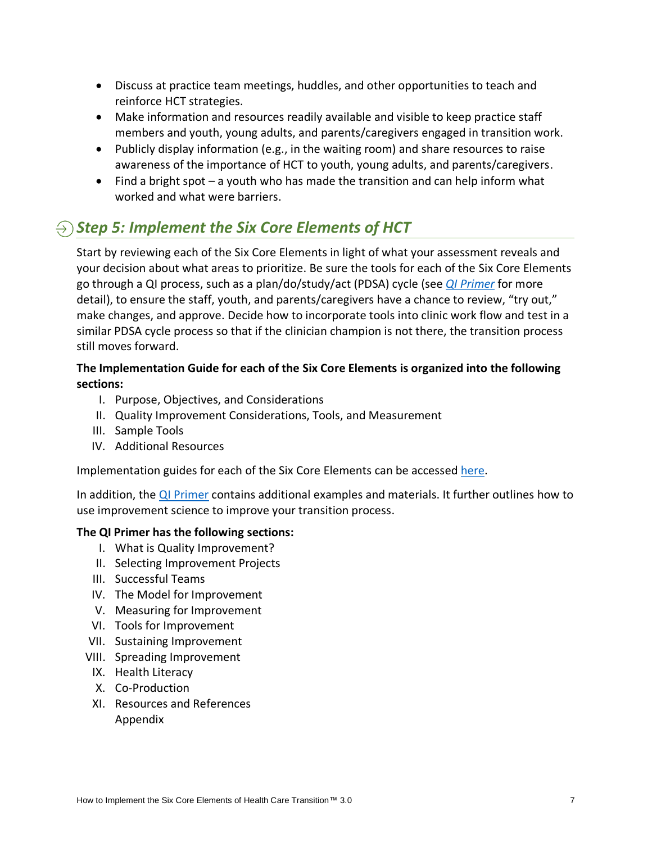- <span id="page-6-0"></span>• Discuss at practice team meetings, huddles, and other opportunities to teach and reinforce HCT strategies.
- Make information and resources readily available and visible to keep practice staff members and youth, young adults, and parents/caregivers engaged in transition work.
- Publicly display information (e.g., in the waiting room) and share resources to raise awareness of the importance of HCT to youth, young adults, and parents/caregivers.
- Find a bright spot a youth who has made the transition and can help inform what worked and what were barriers.

# $\Theta$  *Step 5: Implement the Six Core Elements of HCT*

Start by reviewing each of the Six Core Elements in light of what your assessment reveals and your decision about what areas to prioritize. Be sure the tools for each of the Six Core Elements go through a QI process, such as a plan/do/study/act (PDSA) cycle (see *[QI Primer](https://gottransition.org/6ce/quality-improvement-primer)* for more detail), to ensure the staff, youth, and parents/caregivers have a chance to review, "try out," make changes, and approve. Decide how to incorporate tools into clinic work flow and test in a similar PDSA cycle process so that if the clinician champion is not there, the transition process still moves forward.

### **[The Implementation Guide f](www.gottransition.org/six-core-elements/implementation.cfm)or each of the Six Core Elements is organized into the following sections:**

- I. Purpose, Objectives, and Considerations
- II. Quality Improvement Considerations, Tools, and Measurement
- III. Sample Tools
- IV. Additional Resources

Implementation guides for each of the Six Core Elements can be accessed [here.](https://gottransition.org/six-core-elements/implementation)

In addition, the [QI Primer](https://gottransition.org/6ce/quality-improvement-primer) contains additional examples and materials. It further outlines how to use improvement science to improve your transition process.

#### **[The QI Primer h](www.gottransition.org/6ce/quality-improvement-primer)as the following sections:**

- I. What is Quality Improvement?
- II. Selecting Improvement Projects
- III. Successful Teams
- IV. The Model for Improvement
- V. Measuring for Improvement
- VI. Tools for Improvement
- VII. Sustaining Improvement
- VIII. Spreading Improvement
- IX. Health Literacy
- X. Co-Production
- XI. Resources and References Appendix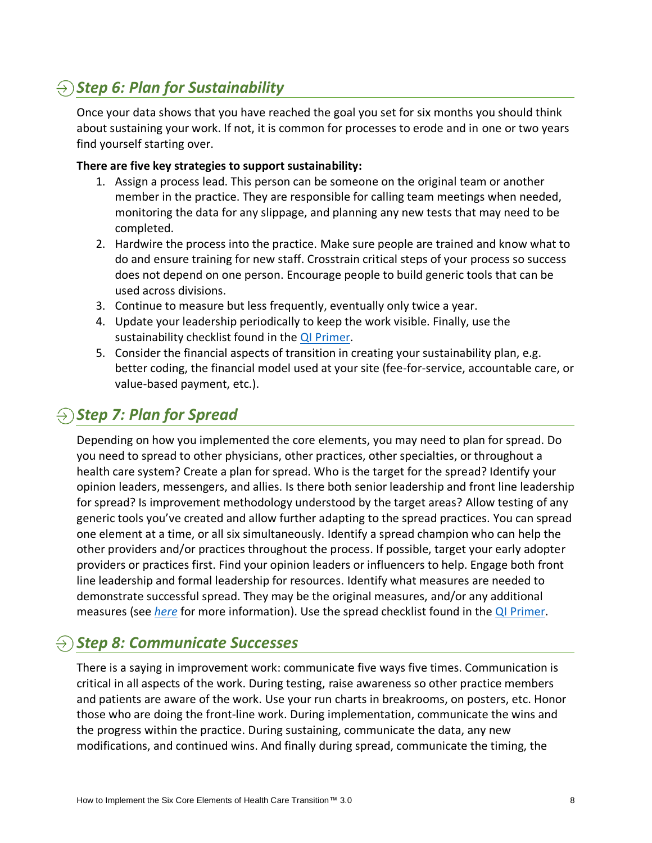# <span id="page-7-0"></span>*Step 6: Plan for Sustainability*

Once your data shows that you have reached the goal you set for six months you should think about sustaining your work. If not, it is common for processes to erode and in one or two years find yourself starting over.

#### **There are five key strategies to support sustainability:**

- 1. Assign a process lead. This person can be someone on the original team or another member in the practice. They are responsible for calling team meetings when needed, monitoring the data for any slippage, and planning any new tests that may need to be completed.
- 2. Hardwire the process into the practice. Make sure people are trained and know what to do and ensure training for new staff. Crosstrain critical steps of your process so success does not depend on one person. Encourage people to build generic tools that can be used across divisions.
- 3. Continue to measure but less frequently, eventually only twice a year.
- 4. Update your leadership periodically to keep the work visible. Finally, use the sustainability checklist found in the [QI Primer.](https://gottransition.org/6ce/quality-improvement-primer)
- 5. Consider the financial aspects of transition in creating your sustainability plan, e.g. better coding, the financial model used at your site (fee-for-service, accountable care, or value-based payment, etc.).

## *Step 7: Plan for Spread*

Depending on how you implemented the core elements, you may need to plan for spread. Do you need to spread to other physicians, other practices, other specialties, or throughout a health care system? Create a plan for spread. Who is the target for the spread? Identify your opinion leaders, messengers, and allies. Is there both senior leadership and front line leadership for spread? Is improvement methodology understood by the target areas? Allow testing of any generic tools you've created and allow further adapting to the spread practices. You can spread one element at a time, or all six simultaneously. Identify a spread champion who can help the other providers and/or practices throughout the process. If possible, target your early adopter providers or practices first. Find your opinion leaders or influencers to help. Engage both front line leadership and formal leadership for resources. Identify what measures are needed to demonstrate successful spread. They may be the original measures, and/or any additional measures (see *[here](https://gottransition.org/six-core-elements/measurement)* for more information). Use the spread checklist found in the [QI Primer.](https://gottransition.org/6ce/quality-improvement-primer)

### $\Theta$  *Step 8: Communicate Successes*

There is a saying in improvement work: communicate five ways five times. Communication is critical in all aspects of the work. During testing, raise awareness so other practice members and patients are aware of the work. Use your run charts in breakrooms, on posters, etc. Honor those who are doing the front-line work. During implementation, communicate the wins and the progress within the practice. During sustaining, communicate the data, any new modifications, and continued wins. And finally during spread, communicate the timing, the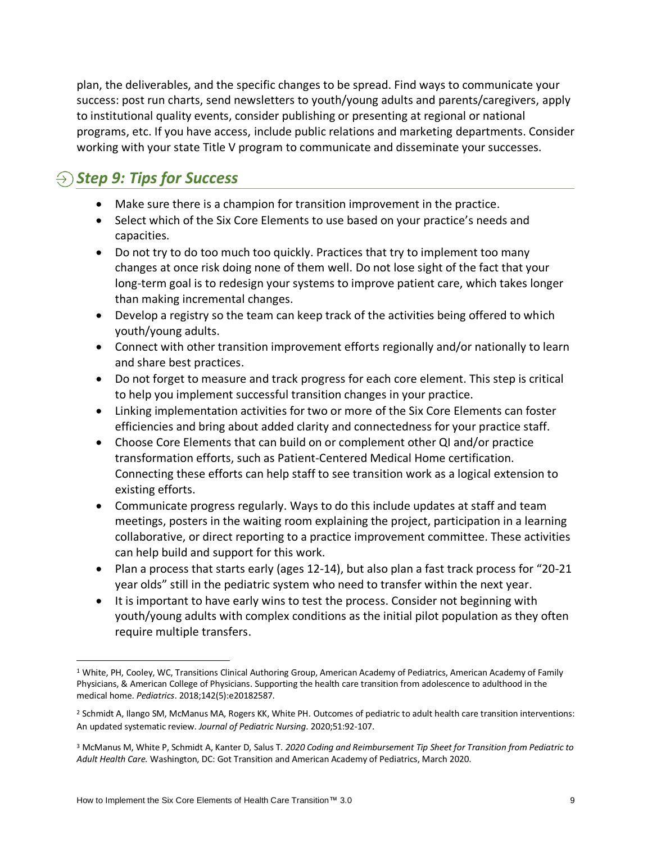<span id="page-8-0"></span>plan, the deliverables, and the specific changes to be spread. Find ways to communicate your success: post run charts, send newsletters to youth/young adults and parents/caregivers, apply to institutional quality events, consider publishing or presenting at regional or national programs, etc. If you have access, include public relations and marketing departments. Consider working with your state Title V program to communicate and disseminate your successes.

# $\Theta$  *Step 9: Tips for Success*

- Make sure there is a champion for transition improvement in the practice.
- Select which of the Six Core Elements to use based on your practice's needs and capacities.
- Do not try to do too much too quickly. Practices that try to implement too many changes at once risk doing none of them well. Do not lose sight of the fact that your long-term goal is to redesign your systems to improve patient care, which takes longer than making incremental changes.
- Develop a registry so the team can keep track of the activities being offered to which youth/young adults.
- Connect with other transition improvement efforts regionally and/or nationally to learn and share best practices.
- Do not forget to measure and track progress for each core element. This step is critical to help you implement successful transition changes in your practice.
- Linking implementation activities for two or more of the Six Core Elements can foster efficiencies and bring about added clarity and connectedness for your practice staff.
- Choose Core Elements that can build on or complement other QI and/or practice transformation efforts, such as Patient-Centered Medical Home certification. Connecting these efforts can help staff to see transition work as a logical extension to existing efforts.
- Communicate progress regularly. Ways to do this include updates at staff and team meetings, posters in the waiting room explaining the project, participation in a learning collaborative, or direct reporting to a practice improvement committee. These activities can help build and support for this work.
- Plan a process that starts early (ages 12-14), but also plan a fast track process for "20-21" year olds" still in the pediatric system who need to transfer within the next year.
- It is important to have early wins to test the process. Consider not beginning with youth/young adults with complex conditions as the initial pilot population as they often require multiple transfers.

<sup>&</sup>lt;sup>1</sup> White, PH, Cooley, WC, Transitions Clinical Authoring Group, American Academy of Pediatrics, American Academy of Family Physicians, & American College of Physicians. Supporting the health care transition from adolescence to adulthood in the medical home. *Pediatrics*. 2018;142(5):e20182587.

<sup>2</sup> Schmidt A, Ilango SM, McManus MA, Rogers KK, White PH. Outcomes of pediatric to adult health care transition interventions: An updated systematic review. *Journal of Pediatric Nursing*. 2020;51:92‐107.

<sup>3</sup> McManus M, White P, Schmidt A, Kanter D, Salus T. *2020 Coding and Reimbursement Tip Sheet for Transition from Pediatric to Adult Health Care.* Washington, DC: Got Transition and American Academy of Pediatrics, March 2020.